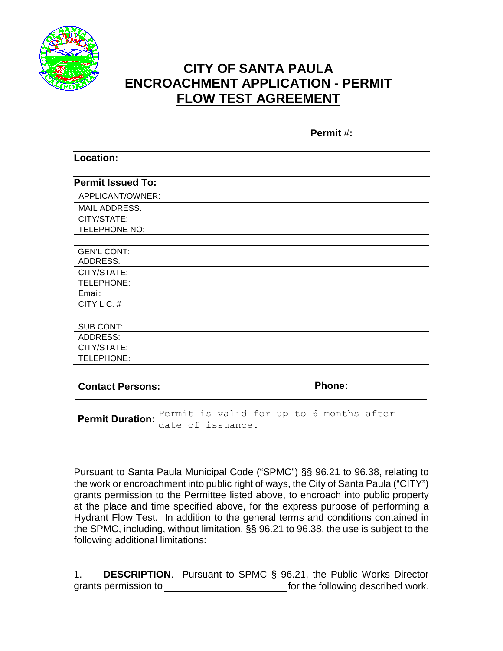

**Location:**

# **CITY OF SANTA PAULA ENCROACHMENT APPLICATION - PERMIT FLOW TEST AGREEMENT**

**Permit** #**:**

| <b>Permit Issued To:</b> |               |
|--------------------------|---------------|
| APPLICANT/OWNER:         |               |
| <b>MAIL ADDRESS:</b>     |               |
| CITY/STATE:              |               |
| TELEPHONE NO:            |               |
|                          |               |
| <b>GEN'L CONT:</b>       |               |
| <b>ADDRESS:</b>          |               |
| CITY/STATE:              |               |
| TELEPHONE:               |               |
| Email:                   |               |
| CITY LIC. #              |               |
|                          |               |
| <b>SUB CONT:</b>         |               |
| <b>ADDRESS:</b>          |               |
| CITY/STATE:              |               |
| TELEPHONE:               |               |
|                          |               |
| <b>Contact Persons:</b>  | <b>Phone:</b> |

**Permit Duration:** Permit is valid for up to 6 months after date of issuance.

Pursuant to Santa Paula Municipal Code ("SPMC") §§ 96.21 to 96.38, relating to the work or encroachment into public right of ways, the City of Santa Paula ("CITY") grants permission to the Permittee listed above, to encroach into public property at the place and time specified above, for the express purpose of performing a Hydrant Flow Test. In addition to the general terms and conditions contained in the SPMC, including, without limitation, §§ 96.21 to 96.38, the use is subject to the following additional limitations:

1. **DESCRIPTION**. Pursuant to SPMC § 96.21, the Public Works Director grants permission to for the following described work.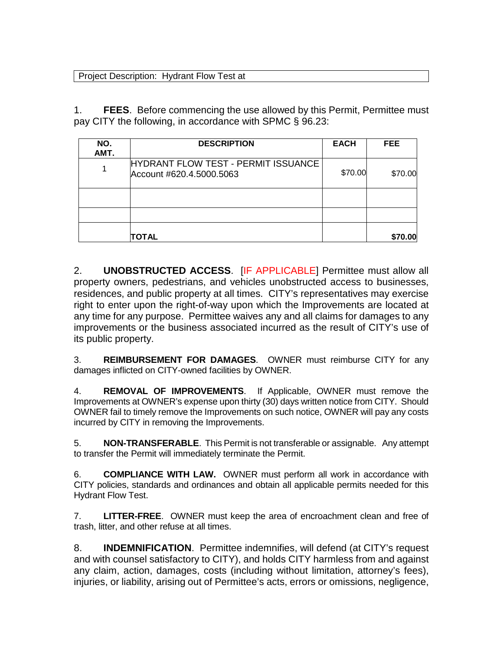### Project Description: Hydrant Flow Test at

1. **FEES**. Before commencing the use allowed by this Permit, Permittee must pay CITY the following, in accordance with SPMC § 96.23:

| NO.<br>AMT. | <b>DESCRIPTION</b>                                              | <b>EACH</b> | FEE.    |
|-------------|-----------------------------------------------------------------|-------------|---------|
|             | HYDRANT FLOW TEST - PERMIT ISSUANCE<br>Account #620.4.5000.5063 | \$70.00     | \$70.00 |
|             |                                                                 |             |         |
|             |                                                                 |             |         |
|             | TOTAL                                                           |             | \$70.00 |

2. **UNOBSTRUCTED ACCESS**. [IF APPLICABLE] Permittee must allow all property owners, pedestrians, and vehicles unobstructed access to businesses, residences, and public property at all times. CITY's representatives may exercise right to enter upon the right-of-way upon which the Improvements are located at any time for any purpose. Permittee waives any and all claims for damages to any improvements or the business associated incurred as the result of CITY's use of its public property.

3. **REIMBURSEMENT FOR DAMAGES**. OWNER must reimburse CITY for any damages inflicted on CITY-owned facilities by OWNER.

4. **REMOVAL OF IMPROVEMENTS**. If Applicable, OWNER must remove the Improvements at OWNER's expense upon thirty (30) days written notice from CITY. Should OWNER fail to timely remove the Improvements on such notice, OWNER will pay any costs incurred by CITY in removing the Improvements.

5. **NON-TRANSFERABLE**. This Permit is not transferable or assignable. Any attempt to transfer the Permit will immediately terminate the Permit.

6. **COMPLIANCE WITH LAW.** OWNER must perform all work in accordance with CITY policies, standards and ordinances and obtain all applicable permits needed for this Hydrant Flow Test.

7. **LITTER-FREE**. OWNER must keep the area of encroachment clean and free of trash, litter, and other refuse at all times.

8. **INDEMNIFICATION**. Permittee indemnifies, will defend (at CITY's request and with counsel satisfactory to CITY), and holds CITY harmless from and against any claim, action, damages, costs (including without limitation, attorney's fees), injuries, or liability, arising out of Permittee's acts, errors or omissions, negligence,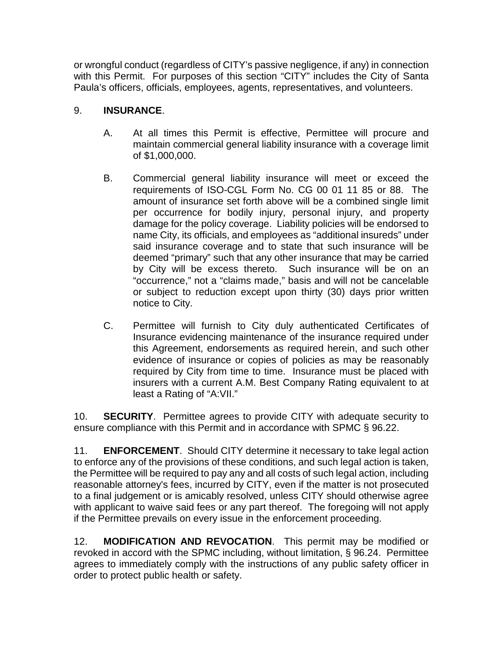or wrongful conduct (regardless of CITY's passive negligence, if any) in connection with this Permit. For purposes of this section "CITY" includes the City of Santa Paula's officers, officials, employees, agents, representatives, and volunteers.

## 9. **INSURANCE**.

- A. At all times this Permit is effective, Permittee will procure and maintain commercial general liability insurance with a coverage limit of \$1,000,000.
- B. Commercial general liability insurance will meet or exceed the requirements of ISO-CGL Form No. CG 00 01 11 85 or 88. The amount of insurance set forth above will be a combined single limit per occurrence for bodily injury, personal injury, and property damage for the policy coverage. Liability policies will be endorsed to name City, its officials, and employees as "additional insureds" under said insurance coverage and to state that such insurance will be deemed "primary" such that any other insurance that may be carried by City will be excess thereto. Such insurance will be on an "occurrence," not a "claims made," basis and will not be cancelable or subject to reduction except upon thirty (30) days prior written notice to City.
- C. Permittee will furnish to City duly authenticated Certificates of Insurance evidencing maintenance of the insurance required under this Agreement, endorsements as required herein, and such other evidence of insurance or copies of policies as may be reasonably required by City from time to time. Insurance must be placed with insurers with a current A.M. Best Company Rating equivalent to at least a Rating of "A:VII."

10. **SECURITY**. Permittee agrees to provide CITY with adequate security to ensure compliance with this Permit and in accordance with SPMC § 96.22.

11. **ENFORCEMENT**. Should CITY determine it necessary to take legal action to enforce any of the provisions of these conditions, and such legal action is taken, the Permittee will be required to pay any and all costs of such legal action, including reasonable attorney's fees, incurred by CITY, even if the matter is not prosecuted to a final judgement or is amicably resolved, unless CITY should otherwise agree with applicant to waive said fees or any part thereof. The foregoing will not apply if the Permittee prevails on every issue in the enforcement proceeding.

12. **MODIFICATION AND REVOCATION**. This permit may be modified or revoked in accord with the SPMC including, without limitation, § 96.24. Permittee agrees to immediately comply with the instructions of any public safety officer in order to protect public health or safety.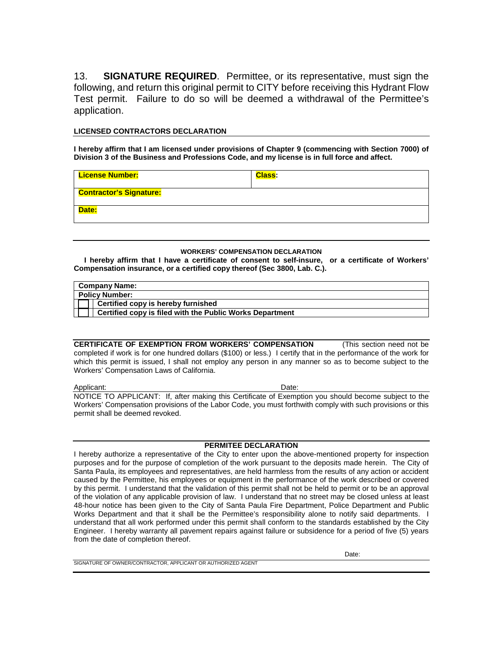13. **SIGNATURE REQUIRED**. Permittee, or its representative, must sign the following, and return this original permit to CITY before receiving this Hydrant Flow Test permit. Failure to do so will be deemed a withdrawal of the Permittee's application.

### **LICENSED CONTRACTORS DECLARATION**

**I hereby affirm that I am licensed under provisions of Chapter 9 (commencing with Section 7000) of Division 3 of the Business and Professions Code, and my license is in full force and affect.**

| <b>License Number:</b>         | <b>Class:</b> |
|--------------------------------|---------------|
| <b>Contractor's Signature:</b> |               |
| Date:                          |               |

#### **WORKERS' COMPENSATION DECLARATION**

 **I hereby affirm that I have a certificate of consent to self-insure, or a certificate of Workers' Compensation insurance, or a certified copy thereof (Sec 3800, Lab. C.).**

| <b>Company Name:</b>                                     |
|----------------------------------------------------------|
| <b>Policy Number:</b>                                    |
| <b>Certified copy is hereby furnished</b>                |
| Certified copy is filed with the Public Works Department |

**CERTIFICATE OF EXEMPTION FROM WORKERS' COMPENSATION** (This section need not be completed if work is for one hundred dollars (\$100) or less.) I certify that in the performance of the work for which this permit is issued, I shall not employ any person in any manner so as to become subject to the Workers' Compensation Laws of California.

Applicant: Date: Date: NOTICE TO APPLICANT: If, after making this Certificate of Exemption you should become subject to the Workers' Compensation provisions of the Labor Code, you must forthwith comply with such provisions or this permit shall be deemed revoked.

### **PERMITEE DECLARATION**

I hereby authorize a representative of the City to enter upon the above-mentioned property for inspection purposes and for the purpose of completion of the work pursuant to the deposits made herein. The City of Santa Paula, its employees and representatives, are held harmless from the results of any action or accident caused by the Permittee, his employees or equipment in the performance of the work described or covered by this permit. I understand that the validation of this permit shall not be held to permit or to be an approval of the violation of any applicable provision of law. I understand that no street may be closed unless at least 48-hour notice has been given to the City of Santa Paula Fire Department, Police Department and Public Works Department and that it shall be the Permittee's responsibility alone to notify said departments. I understand that all work performed under this permit shall conform to the standards established by the City Engineer. I hereby warranty all pavement repairs against failure or subsidence for a period of five (5) years from the date of completion thereof.

SIGNATURE OF OWNER/CONTRACTOR, APPLICANT OR AUTHORIZED AGENT

Date: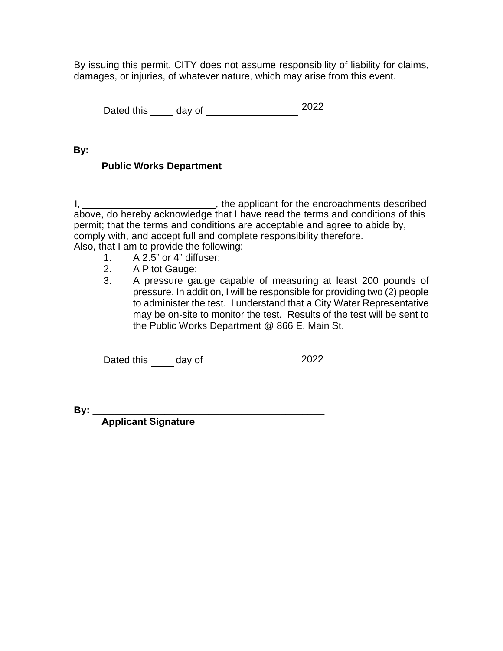By issuing this permit, CITY does not assume responsibility of liability for claims, damages, or injuries, of whatever nature, which may arise from this event.

Dated this day of 2022

**By:** \_\_\_\_\_\_\_\_\_\_\_\_\_\_\_\_\_\_\_\_\_\_\_\_\_\_\_\_\_\_\_\_\_\_\_\_\_\_

## **Public Works Department**

I, \_\_\_\_\_\_\_\_\_\_\_\_\_\_\_\_\_\_\_\_\_\_\_\_\_\_\_\_\_\_\_, the applicant for the encroachments described above, do hereby acknowledge that I have read the terms and conditions of this permit; that the terms and conditions are acceptable and agree to abide by, comply with, and accept full and complete responsibility therefore. Also, that I am to provide the following:

- 1. A 2.5" or 4" diffuser;
- 2. A Pitot Gauge;
- 3. A pressure gauge capable of measuring at least 200 pounds of pressure. In addition, I will be responsible for providing two (2) people to administer the test. I understand that a City Water Representative may be on-site to monitor the test. Results of the test will be sent to the Public Works Department @ 866 E. Main St.

Dated thisday of 2022

**By:** \_\_\_\_\_\_\_\_\_\_\_\_\_\_\_\_\_\_\_\_\_\_\_\_\_\_\_\_\_\_\_\_\_\_\_\_\_\_\_\_\_\_

**Applicant Signature**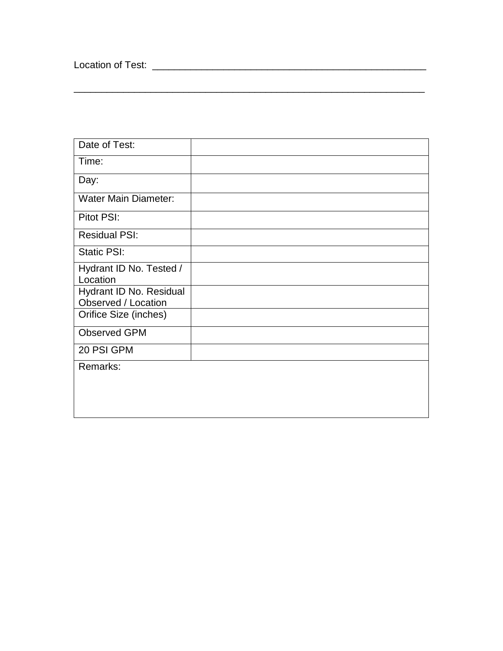Location of Test: \_\_\_\_\_\_\_\_\_\_\_\_\_\_\_\_\_\_\_\_\_\_\_\_\_\_\_\_\_\_\_\_\_\_\_\_\_\_\_\_\_\_\_\_\_\_\_\_\_\_

| Date of Test:               |  |
|-----------------------------|--|
| Time:                       |  |
| Day:                        |  |
| <b>Water Main Diameter:</b> |  |
| Pitot PSI:                  |  |
| <b>Residual PSI:</b>        |  |
| <b>Static PSI:</b>          |  |
| Hydrant ID No. Tested /     |  |
| Location                    |  |
| Hydrant ID No. Residual     |  |
| Observed / Location         |  |
| Orifice Size (inches)       |  |
| <b>Observed GPM</b>         |  |
| 20 PSI GPM                  |  |
| Remarks:                    |  |
|                             |  |
|                             |  |
|                             |  |

\_\_\_\_\_\_\_\_\_\_\_\_\_\_\_\_\_\_\_\_\_\_\_\_\_\_\_\_\_\_\_\_\_\_\_\_\_\_\_\_\_\_\_\_\_\_\_\_\_\_\_\_\_\_\_\_\_\_\_\_\_\_\_\_